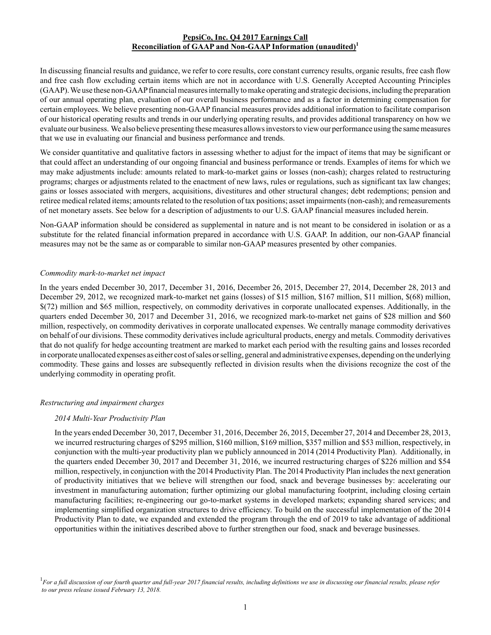# **PepsiCo, Inc. Q4 2017 Earnings Call Reconciliation of GAAP and Non-GAAP Information (unaudited)<sup>1</sup>**

In discussing financial results and guidance, we refer to core results, core constant currency results, organic results, free cash flow and free cash flow excluding certain items which are not in accordance with U.S. Generally Accepted Accounting Principles (GAAP). We use these non-GAAPfinancial measures internally to make operating and strategic decisions, including the preparation of our annual operating plan, evaluation of our overall business performance and as a factor in determining compensation for certain employees. We believe presenting non-GAAPfinancial measures provides additional information to facilitate comparison of our historical operating results and trends in our underlying operating results, and provides additional transparency on how we evaluate our business. We also believe presenting these measures allows investors to view our performance using the same measures that we use in evaluating our financial and business performance and trends.

We consider quantitative and qualitative factors in assessing whether to adjust for the impact of items that may be significant or that could affect an understanding of our ongoing financial and business performance or trends. Examples of items for which we may make adjustments include: amounts related to mark-to-market gains or losses (non-cash); charges related to restructuring programs; charges or adjustments related to the enactment of new laws, rules or regulations, such as significant tax law changes; gains or losses associated with mergers, acquisitions, divestitures and other structural changes; debt redemptions; pension and retiree medical related items; amounts related to the resolution of tax positions; asset impairments (non-cash); and remeasurements of net monetary assets. See below for a description of adjustments to our U.S. GAAP financial measures included herein.

Non-GAAP information should be considered as supplemental in nature and is not meant to be considered in isolation or as a substitute for the related financial information prepared in accordance with U.S. GAAP. In addition, our non-GAAP financial measures may not be the same as or comparable to similar non-GAAP measures presented by other companies.

### *Commodity mark-to-market net impact*

In the years ended December 30, 2017, December 31, 2016, December 26, 2015, December 27, 2014, December 28, 2013 and December 29, 2012, we recognized mark-to-market net gains (losses) of \$15 million, \$167 million, \$11 million, \$(68) million, \$(72) million and \$65 million, respectively, on commodity derivatives in corporate unallocated expenses. Additionally, in the quarters ended December 30, 2017 and December 31, 2016, we recognized mark-to-market net gains of \$28 million and \$60 million, respectively, on commodity derivatives in corporate unallocated expenses. We centrally manage commodity derivatives on behalf of our divisions. These commodity derivatives include agricultural products, energy and metals. Commodity derivatives that do not qualify for hedge accounting treatment are marked to market each period with the resulting gains and losses recorded in corporate unallocated expenses as either cost of sales or selling, general and administrative expenses, depending on the underlying commodity. These gains and losses are subsequently reflected in division results when the divisions recognize the cost of the underlying commodity in operating profit.

# *Restructuring and impairment charges*

#### *2014 Multi-Year Productivity Plan*

In the years ended December 30, 2017, December 31, 2016, December 26, 2015, December 27, 2014 and December 28, 2013, we incurred restructuring charges of \$295 million, \$160 million, \$169 million, \$357 million and \$53 million, respectively, in conjunction with the multi-year productivity plan we publicly announced in 2014 (2014 Productivity Plan). Additionally, in the quarters ended December 30, 2017 and December 31, 2016, we incurred restructuring charges of \$226 million and \$54 million, respectively, in conjunction with the 2014 Productivity Plan. The 2014 Productivity Plan includes the next generation of productivity initiatives that we believe will strengthen our food, snack and beverage businesses by: accelerating our investment in manufacturing automation; further optimizing our global manufacturing footprint, including closing certain manufacturing facilities; re-engineering our go-to-market systems in developed markets; expanding shared services; and implementing simplified organization structures to drive efficiency. To build on the successful implementation of the 2014 Productivity Plan to date, we expanded and extended the program through the end of 2019 to take advantage of additional opportunities within the initiatives described above to further strengthen our food, snack and beverage businesses.

<sup>&</sup>lt;sup>1</sup> For a full discussion of our fourth quarter and full-year 2017 financial results, including definitions we use in discussing our financial results, please refer *to our press release issued February 13, 2018.*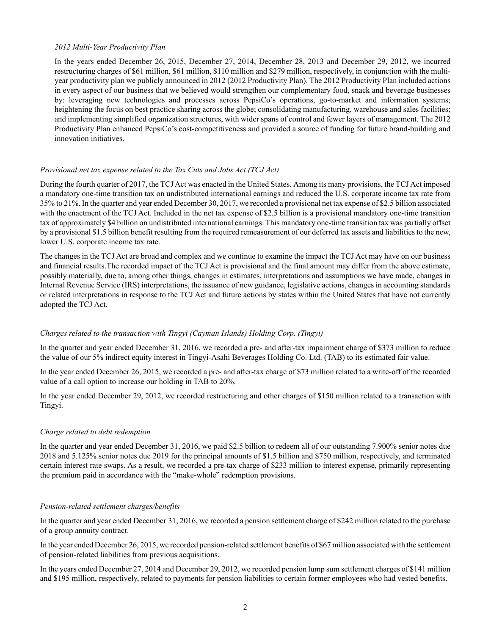#### *2012 Multi-Year Productivity Plan*

In the years ended December 26, 2015, December 27, 2014, December 28, 2013 and December 29, 2012, we incurred restructuring charges of \$61 million, \$61 million, \$110 million and \$279 million, respectively, in conjunction with the multiyear productivity plan we publicly announced in 2012 (2012 Productivity Plan). The 2012 Productivity Plan included actions in every aspect of our business that we believed would strengthen our complementary food, snack and beverage businesses by: leveraging new technologies and processes across PepsiCo's operations, go-to-market and information systems; heightening the focus on best practice sharing across the globe; consolidating manufacturing, warehouse and sales facilities; and implementing simplified organization structures, with wider spans of control and fewer layers of management. The 2012 Productivity Plan enhanced PepsiCo's cost-competitiveness and provided a source of funding for future brand-building and innovation initiatives.

# *Provisional net tax expense related to the Tax Cuts and Jobs Act (TCJ Act)*

During the fourth quarter of 2017, the TCJ Act was enacted in the United States. Among its many provisions, the TCJ Act imposed a mandatory one-time transition tax on undistributed international earnings and reduced the U.S. corporate income tax rate from 35% to 21%. In the quarter and year ended December 30, 2017, we recorded a provisional net tax expense of \$2.5 billion associated with the enactment of the TCJ Act. Included in the net tax expense of \$2.5 billion is a provisional mandatory one-time transition tax of approximately \$4 billion on undistributed international earnings. This mandatory one-time transition tax was partially offset by a provisional \$1.5 billion benefit resulting from the required remeasurement of our deferred tax assets and liabilities to the new, lower U.S. corporate income tax rate.

The changes in the TCJ Act are broad and complex and we continue to examine the impact the TCJ Act may have on our business and financial results.The recorded impact of the TCJ Act is provisional and the final amount may differ from the above estimate, possibly materially, due to, among other things, changes in estimates, interpretations and assumptions we have made, changes in Internal Revenue Service (IRS) interpretations, the issuance of new guidance, legislative actions, changes in accounting standards or related interpretations in response to the TCJ Act and future actions by states within the United States that have not currently adopted the TCJ Act.

# *Charges related to the transaction with Tingyi (Cayman Islands) Holding Corp. (Tingyi)*

In the quarter and year ended December 31, 2016, we recorded a pre- and after-tax impairment charge of \$373 million to reduce the value of our 5% indirect equity interest in Tingyi-Asahi Beverages Holding Co. Ltd. (TAB) to its estimated fair value.

In the year ended December 26, 2015, we recorded a pre- and after-tax charge of \$73 million related to a write-off of the recorded value of a call option to increase our holding in TAB to 20%.

In the year ended December 29, 2012, we recorded restructuring and other charges of \$150 million related to a transaction with Tingyi.

# *Charge related to debt redemption*

In the quarter and year ended December 31, 2016, we paid \$2.5 billion to redeem all of our outstanding 7.900% senior notes due 2018 and 5.125% senior notes due 2019 for the principal amounts of \$1.5 billion and \$750 million, respectively, and terminated certain interest rate swaps. As a result, we recorded a pre-tax charge of \$233 million to interest expense, primarily representing the premium paid in accordance with the "make-whole" redemption provisions.

# *Pension-related settlement charges/benefits*

In the quarter and year ended December 31, 2016, we recorded a pension settlement charge of \$242 million related to the purchase of a group annuity contract.

In the year ended December 26, 2015, we recorded pension-related settlement benefits of \$67 million associated with the settlement of pension-related liabilities from previous acquisitions.

In the years ended December 27, 2014 and December 29, 2012, we recorded pension lump sum settlement charges of \$141 million and \$195 million, respectively, related to payments for pension liabilities to certain former employees who had vested benefits.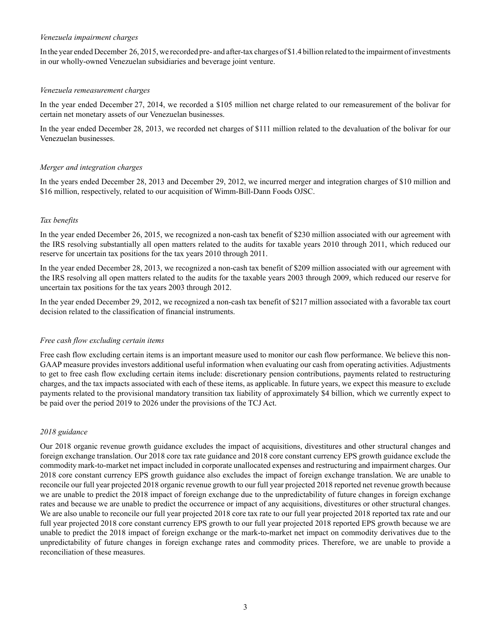### *Venezuela impairment charges*

In the year ended December 26, 2015, we recorded pre- and after-tax charges of \$1.4 billion related to the impairment of investments in our wholly-owned Venezuelan subsidiaries and beverage joint venture.

## *Venezuela remeasurement charges*

In the year ended December 27, 2014, we recorded a \$105 million net charge related to our remeasurement of the bolivar for certain net monetary assets of our Venezuelan businesses.

In the year ended December 28, 2013, we recorded net charges of \$111 million related to the devaluation of the bolivar for our Venezuelan businesses.

# *Merger and integration charges*

In the years ended December 28, 2013 and December 29, 2012, we incurred merger and integration charges of \$10 million and \$16 million, respectively, related to our acquisition of Wimm-Bill-Dann Foods OJSC.

# *Tax benefits*

In the year ended December 26, 2015, we recognized a non-cash tax benefit of \$230 million associated with our agreement with the IRS resolving substantially all open matters related to the audits for taxable years 2010 through 2011, which reduced our reserve for uncertain tax positions for the tax years 2010 through 2011.

In the year ended December 28, 2013, we recognized a non-cash tax benefit of \$209 million associated with our agreement with the IRS resolving all open matters related to the audits for the taxable years 2003 through 2009, which reduced our reserve for uncertain tax positions for the tax years 2003 through 2012.

In the year ended December 29, 2012, we recognized a non-cash tax benefit of \$217 million associated with a favorable tax court decision related to the classification of financial instruments.

#### *Free cash flow excluding certain items*

Free cash flow excluding certain items is an important measure used to monitor our cash flow performance. We believe this non-GAAP measure provides investors additional useful information when evaluating our cash from operating activities. Adjustments to get to free cash flow excluding certain items include: discretionary pension contributions, payments related to restructuring charges, and the tax impacts associated with each of these items, as applicable. In future years, we expect this measure to exclude payments related to the provisional mandatory transition tax liability of approximately \$4 billion, which we currently expect to be paid over the period 2019 to 2026 under the provisions of the TCJ Act.

# *2018 guidance*

Our 2018 organic revenue growth guidance excludes the impact of acquisitions, divestitures and other structural changes and foreign exchange translation. Our 2018 core tax rate guidance and 2018 core constant currency EPS growth guidance exclude the commodity mark-to-market net impact included in corporate unallocated expenses and restructuring and impairment charges. Our 2018 core constant currency EPS growth guidance also excludes the impact of foreign exchange translation. We are unable to reconcile our full year projected 2018 organic revenue growth to our full year projected 2018 reported net revenue growth because we are unable to predict the 2018 impact of foreign exchange due to the unpredictability of future changes in foreign exchange rates and because we are unable to predict the occurrence or impact of any acquisitions, divestitures or other structural changes. We are also unable to reconcile our full year projected 2018 core tax rate to our full year projected 2018 reported tax rate and our full year projected 2018 core constant currency EPS growth to our full year projected 2018 reported EPS growth because we are unable to predict the 2018 impact of foreign exchange or the mark-to-market net impact on commodity derivatives due to the unpredictability of future changes in foreign exchange rates and commodity prices. Therefore, we are unable to provide a reconciliation of these measures.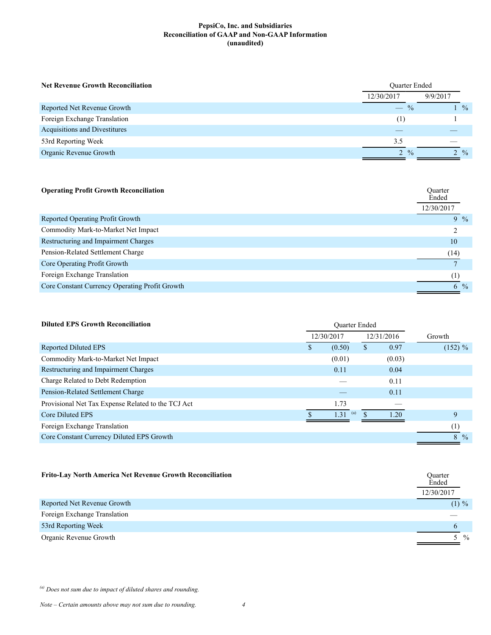| <b>Net Revenue Growth Reconciliation</b> | <b>Ouarter Ended</b> |                 |  |
|------------------------------------------|----------------------|-----------------|--|
|                                          | 12/30/2017           | 9/9/2017        |  |
| Reported Net Revenue Growth              | $-$ %                | $1 \frac{9}{6}$ |  |
| Foreign Exchange Translation             | (1)                  |                 |  |
| Acquisitions and Divestitures            |                      |                 |  |
| 53rd Reporting Week                      | 3.5                  |                 |  |
| Organic Revenue Growth                   | $2 \frac{9}{6}$      | $2 \frac{9}{6}$ |  |

| Ouarter<br>Ended<br>12/30/2017 |  |
|--------------------------------|--|
| $9\%$                          |  |
|                                |  |
| 10                             |  |
| (14)                           |  |
|                                |  |
| (1)                            |  |
| 6 $\frac{9}{6}$                |  |
|                                |  |

| <b>Diluted EPS Growth Reconciliation</b>           |   |             |            |                |
|----------------------------------------------------|---|-------------|------------|----------------|
|                                                    |   | 12/30/2017  | 12/31/2016 | Growth         |
| Reported Diluted EPS                               | S | (0.50)      | \$<br>0.97 | $(152) \%$     |
| Commodity Mark-to-Market Net Impact                |   | (0.01)      | (0.03)     |                |
| Restructuring and Impairment Charges               |   | 0.11        | 0.04       |                |
| Charge Related to Debt Redemption                  |   |             | 0.11       |                |
| Pension-Related Settlement Charge                  |   |             | 0.11       |                |
| Provisional Net Tax Expense Related to the TCJ Act |   | 1.73        |            |                |
| Core Diluted EPS                                   |   | (a)<br>1.31 | 120        | 9              |
| Foreign Exchange Translation                       |   |             |            | (1)            |
| Core Constant Currency Diluted EPS Growth          |   |             |            | $8\frac{9}{6}$ |
|                                                    |   |             |            |                |

| <b>Frito-Lay North America Net Revenue Growth Reconciliation</b> | Quarter<br>Ended<br>12/30/2017 |     |
|------------------------------------------------------------------|--------------------------------|-----|
| Reported Net Revenue Growth                                      | $(1) \%$                       |     |
| Foreign Exchange Translation                                     |                                |     |
| 53rd Reporting Week                                              | 6                              |     |
| Organic Revenue Growth                                           |                                | 5 % |

*(a) Does not sum due to impact of diluted shares and rounding.*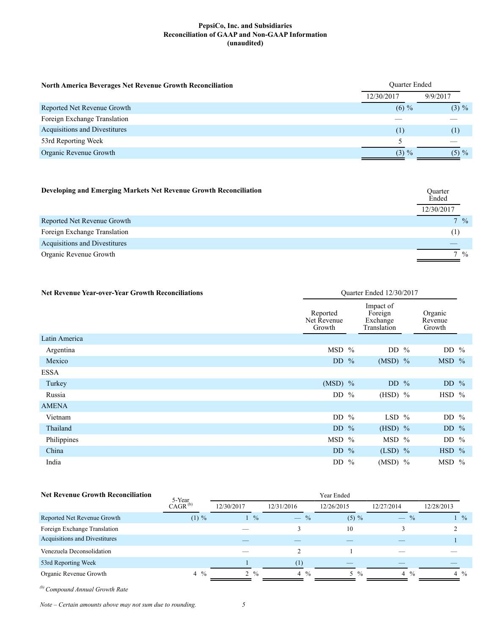| <b>North America Beverages Net Revenue Growth Reconciliation</b> | <b>Ouarter Ended</b> |          |  |  |  |
|------------------------------------------------------------------|----------------------|----------|--|--|--|
|                                                                  | 12/30/2017           | 9/9/2017 |  |  |  |
| Reported Net Revenue Growth                                      | $(6) \%$             | $(3) \%$ |  |  |  |
| Foreign Exchange Translation                                     |                      |          |  |  |  |
| Acquisitions and Divestitures                                    | (1)                  | (1)      |  |  |  |
| 53rd Reporting Week                                              |                      |          |  |  |  |
| Organic Revenue Growth                                           | $(3) \%$             | $(5) \%$ |  |  |  |

| Developing and Emerging Markets Net Revenue Growth Reconciliation | Quarter<br>Ended<br>12/30/2017 |
|-------------------------------------------------------------------|--------------------------------|
| Reported Net Revenue Growth                                       | $7\frac{9}{6}$                 |
| Foreign Exchange Translation                                      | (1)                            |
| Acquisitions and Divestitures                                     |                                |
| Organic Revenue Growth                                            | $\frac{0}{0}$                  |

| <b>Net Revenue Year-over-Year Growth Reconciliations</b> | Quarter Ended 12/30/2017                                                             |  |           |  |                              |
|----------------------------------------------------------|--------------------------------------------------------------------------------------|--|-----------|--|------------------------------|
|                                                          | Impact of<br>Reported<br>Foreign<br>Net Revenue<br>Exchange<br>Growth<br>Translation |  |           |  | Organic<br>Revenue<br>Growth |
| Latin America                                            |                                                                                      |  |           |  |                              |
| Argentina                                                | $MSD$ %                                                                              |  | DD $%$    |  | DD $%$                       |
| Mexico                                                   | DD $\%$                                                                              |  | $(MSD)$ % |  | $MSD$ %                      |
| <b>ESSA</b>                                              |                                                                                      |  |           |  |                              |
| Turkey                                                   | $(MSD)$ %                                                                            |  | DD $\%$   |  | DD $%$                       |
| Russia                                                   | DD $\%$                                                                              |  | $(HSD)$ % |  | $HSD$ %                      |
| <b>AMENA</b>                                             |                                                                                      |  |           |  |                              |
| Vietnam                                                  | DD $\%$                                                                              |  | $LSD$ %   |  | DD $%$                       |
| Thailand                                                 | DD $%$                                                                               |  | $(HSD)$ % |  | DD $%$                       |
| Philippines                                              | $MSD$ %                                                                              |  | $MSD$ %   |  | DD $%$                       |
| China                                                    | DD $%$                                                                               |  | $(LSD)$ % |  | $HSD$ %                      |
| India                                                    | DD $%$                                                                               |  | $(MSD)$ % |  | $MSD$ %                      |

| <b>Net Revenue Growth Reconciliation</b> | 5-Year         |                          |                | Year Ended     |                |                |  |  |  |  |
|------------------------------------------|----------------|--------------------------|----------------|----------------|----------------|----------------|--|--|--|--|
|                                          | $CAGR^{(b)}$   | 12/30/2017<br>12/31/2016 |                | 12/26/2015     | 12/27/2014     | 12/28/2013     |  |  |  |  |
| Reported Net Revenue Growth              | $(1) \%$       | $\frac{9}{6}$            | $-$ %          | $(5) \%$       | $-$ %          | $\frac{9}{6}$  |  |  |  |  |
| Foreign Exchange Translation             |                |                          |                | 10             |                |                |  |  |  |  |
| Acquisitions and Divestitures            |                |                          |                |                |                |                |  |  |  |  |
| Venezuela Deconsolidation                |                |                          |                |                | __             |                |  |  |  |  |
| 53rd Reporting Week                      |                |                          | (1)            |                |                |                |  |  |  |  |
| Organic Revenue Growth                   | $4\frac{9}{6}$ | $2 \frac{9}{6}$          | $4\frac{0}{0}$ | $5\frac{9}{6}$ | $4\frac{9}{6}$ | $4\frac{9}{6}$ |  |  |  |  |

*(b) Compound Annual Growth Rate*

*Note – Certain amounts above may not sum due to rounding. 5*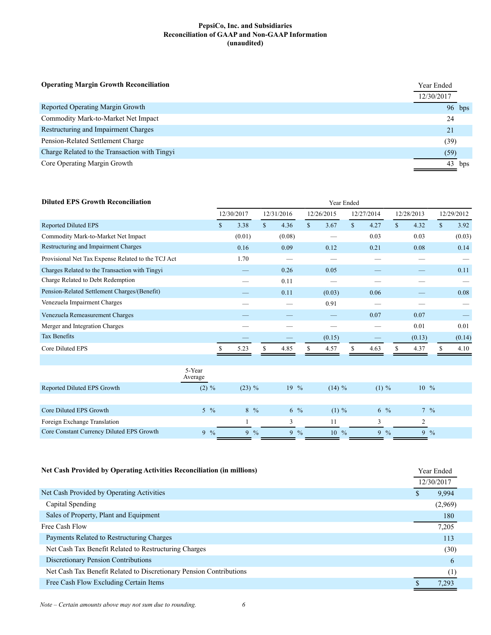| <b>Operating Margin Growth Reconciliation</b> |            |          |
|-----------------------------------------------|------------|----------|
|                                               | 12/30/2017 |          |
| Reported Operating Margin Growth              |            | $96$ bps |
| Commodity Mark-to-Market Net Impact           | 24         |          |
| Restructuring and Impairment Charges          | 21         |          |
| Pension-Related Settlement Charge             | (39)       |          |
| Charge Related to the Transaction with Tingyi | (59)       |          |
| Core Operating Margin Growth                  |            | bps      |

| <b>Diluted EPS Growth Reconciliation</b>           |                   | Year Ended    |                |               |                      |                |                      |                 |              |            |                |                |                 |            |  |
|----------------------------------------------------|-------------------|---------------|----------------|---------------|----------------------|----------------|----------------------|-----------------|--------------|------------|----------------|----------------|-----------------|------------|--|
|                                                    |                   |               | 12/30/2017     |               | 12/31/2016           |                | 12/26/2015           |                 |              | 12/27/2014 |                | 12/28/2013     |                 | 12/29/2012 |  |
| <b>Reported Diluted EPS</b>                        |                   | <sup>\$</sup> | 3.38           |               | $\mathbb{S}$<br>4.36 |                | $\mathbf{s}$<br>3.67 |                 | $\mathbb{S}$ | 4.27       | $\mathbb{S}$   | 4.32           | $\mathbb{S}$    | 3.92       |  |
| Commodity Mark-to-Market Net Impact                |                   |               | (0.01)         |               | (0.08)               |                |                      |                 |              | 0.03       |                | 0.03           |                 | (0.03)     |  |
| Restructuring and Impairment Charges               |                   |               | 0.16           |               | 0.09                 |                | 0.12                 |                 |              | 0.21       |                | 0.08           |                 | 0.14       |  |
| Provisional Net Tax Expense Related to the TCJ Act |                   |               | 1.70           |               |                      |                |                      |                 |              |            |                |                |                 |            |  |
| Charges Related to the Transaction with Tingvi     |                   |               |                |               | 0.26                 |                | 0.05                 |                 |              |            |                |                |                 | 0.11       |  |
| Charge Related to Debt Redemption                  |                   |               |                |               | 0.11                 |                |                      |                 |              |            |                |                |                 |            |  |
| Pension-Related Settlement Charges/(Benefit)       |                   |               |                |               | 0.11                 |                | (0.03)               |                 |              | 0.06       |                |                |                 | 0.08       |  |
| Venezuela Impairment Charges                       |                   |               |                |               |                      |                | 0.91                 |                 |              |            |                |                |                 |            |  |
| Venezuela Remeasurement Charges                    |                   |               |                |               |                      |                |                      |                 |              | 0.07       |                | 0.07           |                 |            |  |
| Merger and Integration Charges                     |                   |               |                |               |                      |                |                      |                 |              |            |                | 0.01           |                 | 0.01       |  |
| <b>Tax Benefits</b>                                |                   |               |                |               |                      |                | (0.15)               |                 |              |            |                | (0.13)         |                 | (0.14)     |  |
| Core Diluted EPS                                   |                   |               | 5.23           |               | 4.85                 |                | \$<br>4.57           |                 |              | 4.63       |                | 4.37           |                 | 4.10       |  |
|                                                    |                   |               |                |               |                      |                |                      |                 |              |            |                |                |                 |            |  |
|                                                    | 5-Year<br>Average |               |                |               |                      |                |                      |                 |              |            |                |                |                 |            |  |
| Reported Diluted EPS Growth                        | $(2) \%$          |               | $(23) \%$      |               |                      | $19\%$         |                      | $(14) \%$       |              | $(1) \%$   |                | $10^{9}$       |                 |            |  |
|                                                    |                   |               |                |               |                      |                |                      |                 |              |            |                |                |                 |            |  |
| Core Diluted EPS Growth                            | $5\frac{9}{6}$    |               | $8\frac{9}{6}$ |               |                      | $6\frac{9}{6}$ |                      | $(1) \%$        |              |            | $6\frac{9}{6}$ |                | $7\frac{9}{6}$  |            |  |
| Foreign Exchange Translation                       |                   |               |                |               | 3                    |                | 11                   |                 |              | 3          |                | $\overline{2}$ |                 |            |  |
| Core Constant Currency Diluted EPS Growth          | $9\frac{6}{6}$    |               | 9              | $\frac{0}{0}$ | 9                    | $\frac{0}{0}$  |                      | $10\frac{9}{6}$ |              |            | $9\frac{9}{6}$ |                | $9 \frac{9}{6}$ |            |  |

| <b>Net Cash Provided by Operating Activities Reconciliation (in millions)</b> |  |            |
|-------------------------------------------------------------------------------|--|------------|
|                                                                               |  | 12/30/2017 |
| Net Cash Provided by Operating Activities                                     |  | 9.994      |
| Capital Spending                                                              |  | (2,969)    |
| Sales of Property, Plant and Equipment                                        |  | 180        |
| Free Cash Flow                                                                |  | 7,205      |
| Payments Related to Restructuring Charges                                     |  | 113        |
| Net Cash Tax Benefit Related to Restructuring Charges                         |  | (30)       |
| Discretionary Pension Contributions                                           |  | 6          |
| Net Cash Tax Benefit Related to Discretionary Pension Contributions           |  | (1)        |
| Free Cash Flow Excluding Certain Items                                        |  | 7,293      |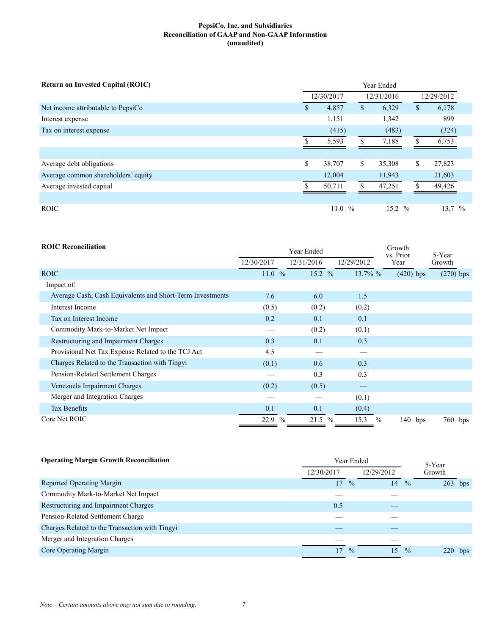| <b>Return on Invested Capital (ROIC)</b> | Year Ended |            |    |            |               |            |
|------------------------------------------|------------|------------|----|------------|---------------|------------|
|                                          |            | 12/30/2017 |    | 12/31/2016 |               | 12/29/2012 |
| Net income attributable to PepsiCo       | \$         | 4,857      | \$ | 6,329      | \$            | 6,178      |
| Interest expense                         |            | 1,151      |    | 1,342      |               | 899        |
| Tax on interest expense                  |            | (415)      |    | (483)      |               | (324)      |
|                                          |            | 5,593      |    | 7,188      |               | 6,753      |
|                                          |            |            |    |            |               |            |
| Average debt obligations                 | \$         | 38,707     | \$ | 35,308     | <sup>\$</sup> | 27,823     |
| Average common shareholders' equity      |            | 12,004     |    | 11,943     |               | 21,603     |
| Average invested capital                 |            | 50,711     |    | 47,251     |               | 49,426     |
|                                          |            |            |    |            |               |            |
| <b>ROIC</b>                              |            | 11.0 $%$   |    | 15.2 %     |               | $13.7\%$   |

| <b>ROIC Reconciliation</b>                                |            | Year Ended | Growth<br>vs. Prior   | 5-Year      |             |  |
|-----------------------------------------------------------|------------|------------|-----------------------|-------------|-------------|--|
|                                                           | 12/30/2017 | 12/31/2016 | 12/29/2012            | Year        | Growth      |  |
| <b>ROIC</b>                                               | 11.0%      | 15.2 $%$   | $13.7\%$ %            | $(420)$ bps | $(270)$ bps |  |
| Impact of:                                                |            |            |                       |             |             |  |
| Average Cash, Cash Equivalents and Short-Term Investments | 7.6        | 6.0        | 1.5                   |             |             |  |
| Interest Income                                           | (0.5)      | (0.2)      | (0.2)                 |             |             |  |
| Tax on Interest Income                                    | 0.2        | 0.1        | 0.1                   |             |             |  |
| Commodity Mark-to-Market Net Impact                       |            | (0.2)      | (0.1)                 |             |             |  |
| Restructuring and Impairment Charges                      | 0.3        | 0.1        | 0.3                   |             |             |  |
| Provisional Net Tax Expense Related to the TCJ Act        | 4.5        |            |                       |             |             |  |
| Charges Related to the Transaction with Tingyi            | (0.1)      | 0.6        | 0.3                   |             |             |  |
| Pension-Related Settlement Charges                        |            | 0.3        | 0.3                   |             |             |  |
| Venezuela Impairment Charges                              | (0.2)      | (0.5)      |                       |             |             |  |
| Merger and Integration Charges                            |            |            | (0.1)                 |             |             |  |
| <b>Tax Benefits</b>                                       | 0.1        | 0.1        | (0.4)                 |             |             |  |
| Core Net ROIC                                             | 22.9 %     | 21.5 %     | 15.3<br>$\frac{0}{0}$ | $140$ bps   | 760 bps     |  |

| <b>Operating Margin Growth Reconciliation</b><br>Year Ended |            |               | 5-Year     |               |                   |
|-------------------------------------------------------------|------------|---------------|------------|---------------|-------------------|
|                                                             | 12/30/2017 |               | 12/29/2012 |               | Growth            |
| Reported Operating Margin                                   | 17         | $\frac{0}{0}$ | 14         | $\frac{0}{0}$ | 263<br>bps        |
| Commodity Mark-to-Market Net Impact                         |            |               |            |               |                   |
| Restructuring and Impairment Charges                        | 0.5        |               |            |               |                   |
| Pension-Related Settlement Charge                           |            |               |            |               |                   |
| Charges Related to the Transaction with Tingyi              |            |               |            |               |                   |
| Merger and Integration Charges                              |            |               |            |               |                   |
| Core Operating Margin                                       | 17         | $\frac{0}{0}$ | 15         | $\frac{0}{0}$ | <b>220</b><br>bps |